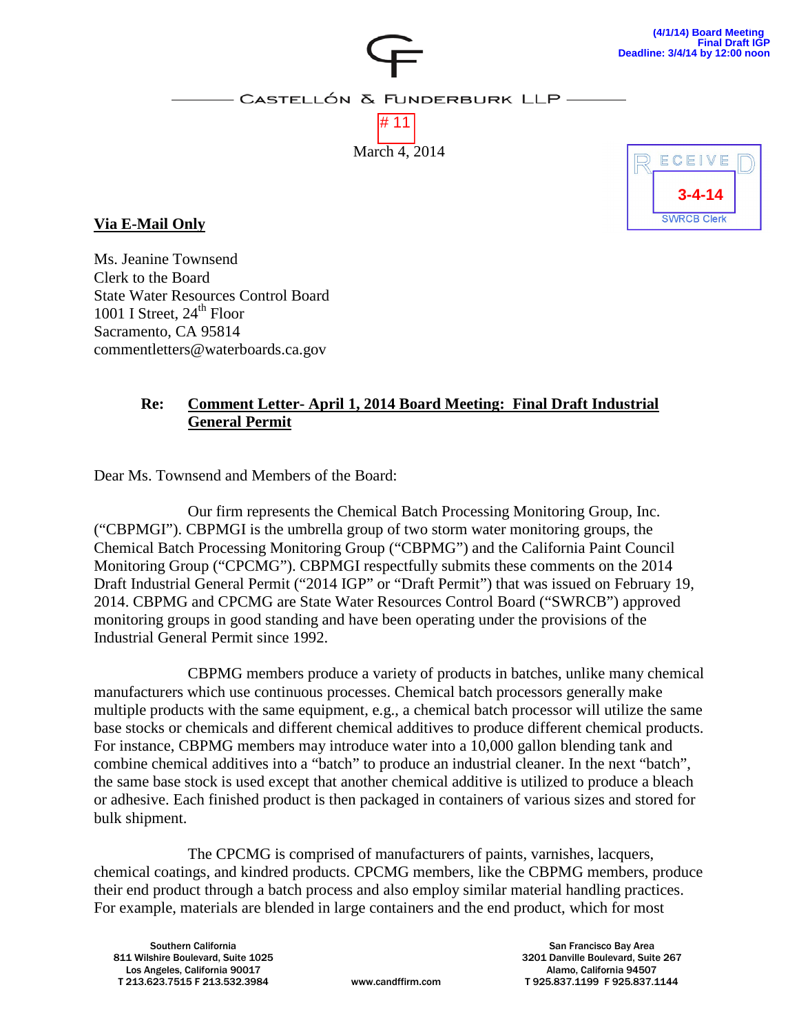

CASTELLÓN & FUNDERBURK LLP-





**Via E-Mail Only**

Ms. Jeanine Townsend Clerk to the Board State Water Resources Control Board 1001 I Street,  $24<sup>th</sup>$  Floor Sacramento, CA 95814 commentletters@waterboards.ca.gov

#### **Re: Comment Letter- April 1, 2014 Board Meeting: Final Draft Industrial General Permit**

Dear Ms. Townsend and Members of the Board:

Our firm represents the Chemical Batch Processing Monitoring Group, Inc. ("CBPMGI"). CBPMGI is the umbrella group of two storm water monitoring groups, the Chemical Batch Processing Monitoring Group ("CBPMG") and the California Paint Council Monitoring Group ("CPCMG"). CBPMGI respectfully submits these comments on the 2014 Draft Industrial General Permit ("2014 IGP" or "Draft Permit") that was issued on February 19, 2014. CBPMG and CPCMG are State Water Resources Control Board ("SWRCB") approved monitoring groups in good standing and have been operating under the provisions of the Industrial General Permit since 1992.

CBPMG members produce a variety of products in batches, unlike many chemical manufacturers which use continuous processes. Chemical batch processors generally make multiple products with the same equipment, e.g., a chemical batch processor will utilize the same base stocks or chemicals and different chemical additives to produce different chemical products. For instance, CBPMG members may introduce water into a 10,000 gallon blending tank and combine chemical additives into a "batch" to produce an industrial cleaner. In the next "batch", the same base stock is used except that another chemical additive is utilized to produce a bleach or adhesive. Each finished product is then packaged in containers of various sizes and stored for bulk shipment.

The CPCMG is comprised of manufacturers of paints, varnishes, lacquers, chemical coatings, and kindred products. CPCMG members, like the CBPMG members, produce their end product through a batch process and also employ similar material handling practices. For example, materials are blended in large containers and the end product, which for most

Southern California 811 Wilshire Boulevard, Suite 1025 Los Angeles, California 90017 T 213.623.7515 F 213.532.3984 www.candffirm.com

San Francisco Bay Area 3201 Danville Boulevard, Suite 267 Alamo, California 94507 T 925.837.1199 F 925.837.1144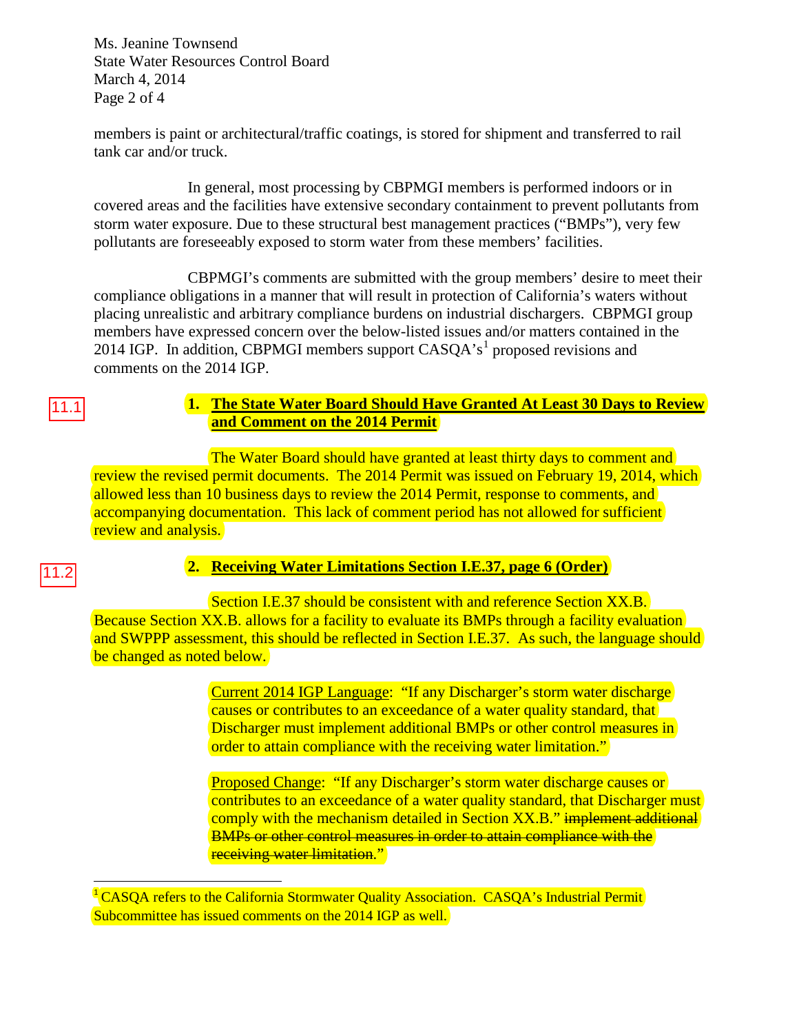Ms. Jeanine Townsend State Water Resources Control Board March 4, 2014 Page 2 of 4

members is paint or architectural/traffic coatings, is stored for shipment and transferred to rail tank car and/or truck.

In general, most processing by CBPMGI members is performed indoors or in covered areas and the facilities have extensive secondary containment to prevent pollutants from storm water exposure. Due to these structural best management practices ("BMPs"), very few pollutants are foreseeably exposed to storm water from these members' facilities.

CBPMGI's comments are submitted with the group members' desire to meet their compliance obligations in a manner that will result in protection of California's waters without placing unrealistic and arbitrary compliance burdens on industrial dischargers. CBPMGI group members have expressed concern over the below-listed issues and/or matters contained in the 20[1](#page-1-0)4 IGP. In addition, CBPMGI members support  $CASQA's<sup>1</sup>$  proposed revisions and comments on the 2014 IGP.

# 11.1

#### **1. The State Water Board Should Have Granted At Least 30 Days to Review and Comment on the 2014 Permit**

The Water Board should have granted at least thirty days to comment and review the revised permit documents. The 2014 Permit was issued on February 19, 2014, which allowed less than 10 business days to review the 2014 Permit, response to comments, and accompanying documentation. This lack of comment period has not allowed for sufficient review and analysis.

#### 11.2

 $\overline{a}$ 

### **2. Receiving Water Limitations Section I.E.37, page 6 (Order)**

Section I.E.37 should be consistent with and reference Section XX.B. Because Section XX.B. allows for a facility to evaluate its BMPs through a facility evaluation and SWPPP assessment, this should be reflected in Section I.E.37. As such, the language should be changed as noted below.

> Current 2014 IGP Language: "If any Discharger's storm water discharge causes or contributes to an exceedance of a water quality standard, that Discharger must implement additional BMPs or other control measures in order to attain compliance with the receiving water limitation."

Proposed Change: "If any Discharger's storm water discharge causes or contributes to an exceedance of a water quality standard, that Discharger must comply with the mechanism detailed in Section XX.B." implement additional BMPs or other control measures in order to attain compliance with the receiving water limitation."

<span id="page-1-0"></span><sup>1</sup> CASQA refers to the California Stormwater Quality Association. CASQA's Industrial Permit Subcommittee has issued comments on the 2014 IGP as well.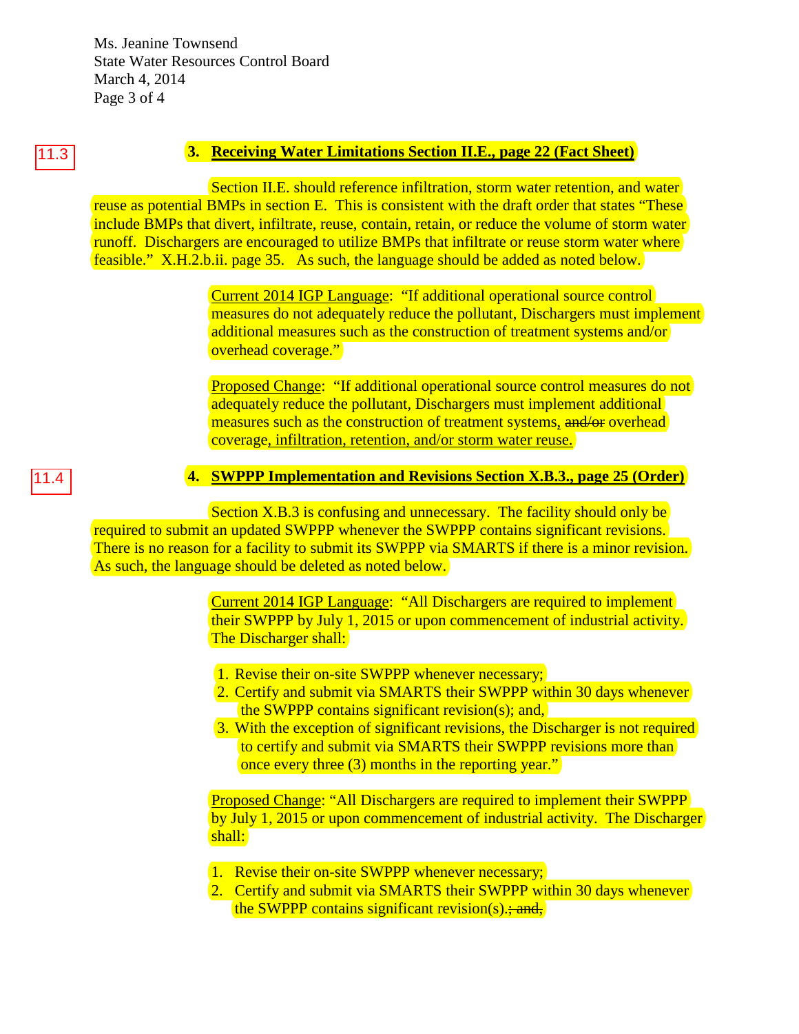Ms. Jeanine Townsend State Water Resources Control Board March 4, 2014 Page 3 of 4

# 11.3

# **3. Receiving Water Limitations Section II.E., page 22 (Fact Sheet)**

Section II.E. should reference infiltration, storm water retention, and water reuse as potential BMPs in section E. This is consistent with the draft order that states "These include BMPs that divert, infiltrate, reuse, contain, retain, or reduce the volume of storm water runoff. Dischargers are encouraged to utilize BMPs that infiltrate or reuse storm water where feasible." X.H.2.b.ii. page 35. As such, the language should be added as noted below.

> Current 2014 IGP Language: "If additional operational source control measures do not adequately reduce the pollutant, Dischargers must implement additional measures such as the construction of treatment systems and/or overhead coverage."

Proposed Change: "If additional operational source control measures do not adequately reduce the pollutant, Dischargers must implement additional measures such as the construction of treatment systems, and/or overhead coverage, infiltration, retention, and/or storm water reuse.

#### **4. SWPPP Implementation and Revisions Section X.B.3., page 25 (Order)**

Section X.B.3 is confusing and unnecessary. The facility should only be required to submit an updated SWPPP whenever the SWPPP contains significant revisions. There is no reason for a facility to submit its SWPPP via SMARTS if there is a minor revision. As such, the language should be deleted as noted below.

> Current 2014 IGP Language: "All Dischargers are required to implement their SWPPP by July 1, 2015 or upon commencement of industrial activity. The Discharger shall:

- 1. Revise their on-site SWPPP whenever necessary;
- 2. Certify and submit via SMARTS their SWPPP within 30 days whenever the SWPPP contains significant revision(s); and,
- 3. With the exception of significant revisions, the Discharger is not required to certify and submit via SMARTS their SWPPP revisions more than once every three (3) months in the reporting year."

Proposed Change: "All Dischargers are required to implement their SWPPP by July 1, 2015 or upon commencement of industrial activity. The Discharger shall:

- 1. Revise their on-site SWPPP whenever necessary;
- 2. Certify and submit via SMARTS their SWPPP within 30 days whenever the SWPPP contains significant revision(s) $\div$  and,

# 11.4